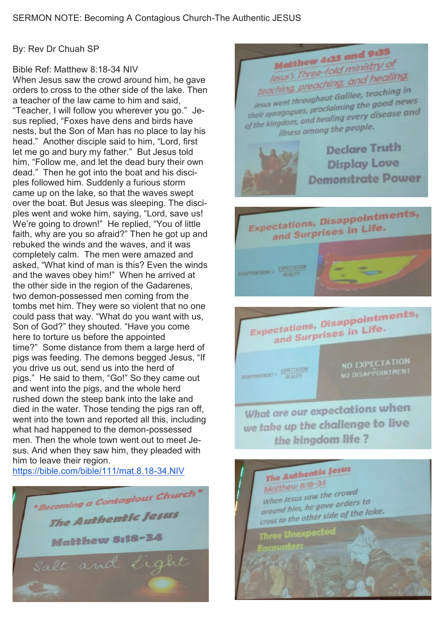By: Rev Dr Chuah SP

### Bible Ref: Matthew 8:18-34 NIV

When Jesus saw the crowd around him, he gave orders to cross to the other side of the lake. Then a teacher of the law came to him and said, "Teacher, I will follow you wherever you go." Jesus replied, "Foxes have dens and birds have nests, but the Son of Man has no place to lay his head." Another disciple said to him, "Lord, first let me go and bury my father." But Jesus told him, "Follow me, and let the dead bury their own dead." Then he got into the boat and his disciples followed him. Suddenly a furious storm came up on the lake, so that the waves swept over the boat. But Jesus was sleeping. The disciples went and woke him, saying, "Lord, save us! We're going to drown!" He replied, "You of little faith, why are you so afraid?" Then he got up and rebuked the winds and the waves, and it was completely calm. The men were amazed and asked, "What kind of man is this? Even the winds and the waves obey him!" When he arrived at the other side in the region of the Gadarenes, two demon-possessed men coming from the tombs met him. They were so violent that no one could pass that way. "What do you want with us, Son of God?" they shouted. "Have you come here to torture us before the appointed time?" Some distance from them a large herd of pigs was feeding. The demons begged Jesus, "If you drive us out, send us into the herd of pigs." He said to them, "Go!" So they came out and went into the pigs, and the whole herd rushed down the steep bank into the lake and died in the water. Those tending the pigs ran off, went into the town and reported all this, including what had happened to the demon-possessed men. Then the whole town went out to meet Jesus. And when they saw him, they pleaded with him to leave their region. <https://bible.com/bible/111/mat.8.18-34.NIV>





Matthew 8:18-34 Watthew 8:10<br>When Jesus saw the crowd When Jesus saw the crock<br>around him, he gave orders to around him, he gave order the lake.

ee Unexpe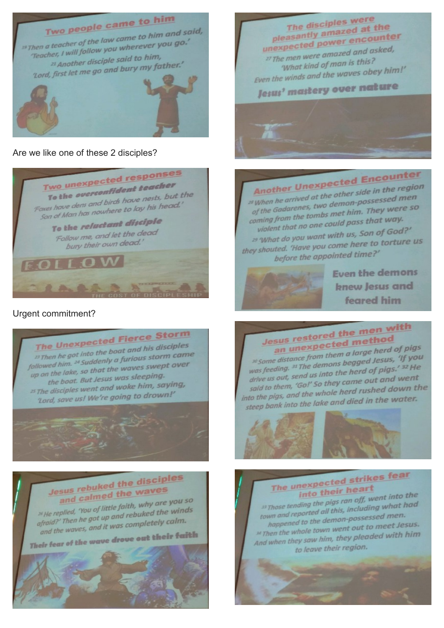

Are we like one of these 2 disciples?



## Urgent commitment?

The Unexpected Fierce Storm <sup>23</sup> Then he got into the boat and his disciples followed him. 24 Suddenly a furious storm came up on the lake, so that the waves swept over the boat. But Jesus was sleeping. <sup>25</sup> The disciples went and woke him, saying, 'Lord, save us! We're going to drown!'

# **Jesus rebuked the disciples** and calmed the waves

<sup>26</sup> He replied, 'You of little faith, why are you so afraid?' Then he got up and rebuked the winds and the waves, and it was completely calm.

Their fear of the wave drove out their faith





**Another Unexpected Encounter** <sup>28</sup> When he arrived at the other side in the region of the Gadarenes, two demon-possessed men coming from the tombs met him. They were so violent that no one could pass that way.

<sup>29</sup> What do you want with us, Son of God?' they shouted. 'Have you come here to torture us before the appointed time?'



Even the demons knew lesus and feared him

**Jesus restored the men with** an unexpected method

30 Some distance from them a large herd of pigs was feeding. <sup>31</sup> The demons begged Jesus, 'If you drive us out, send us into the herd of pigs.' 32 He said to them, 'Go!' So they came out and went into the pigs, and the whole herd rushed down the steep bank into the lake and died in the water.



The unexpected strikes fear into their heart

<sup>33</sup>Those tending the pigs ran off, went into the town and reported all this, including what had happened to the demon-possessed men. <sup>14</sup> Then the whole town went out to meet Jesus. And when they saw him, they pleaded with him to leave their region.